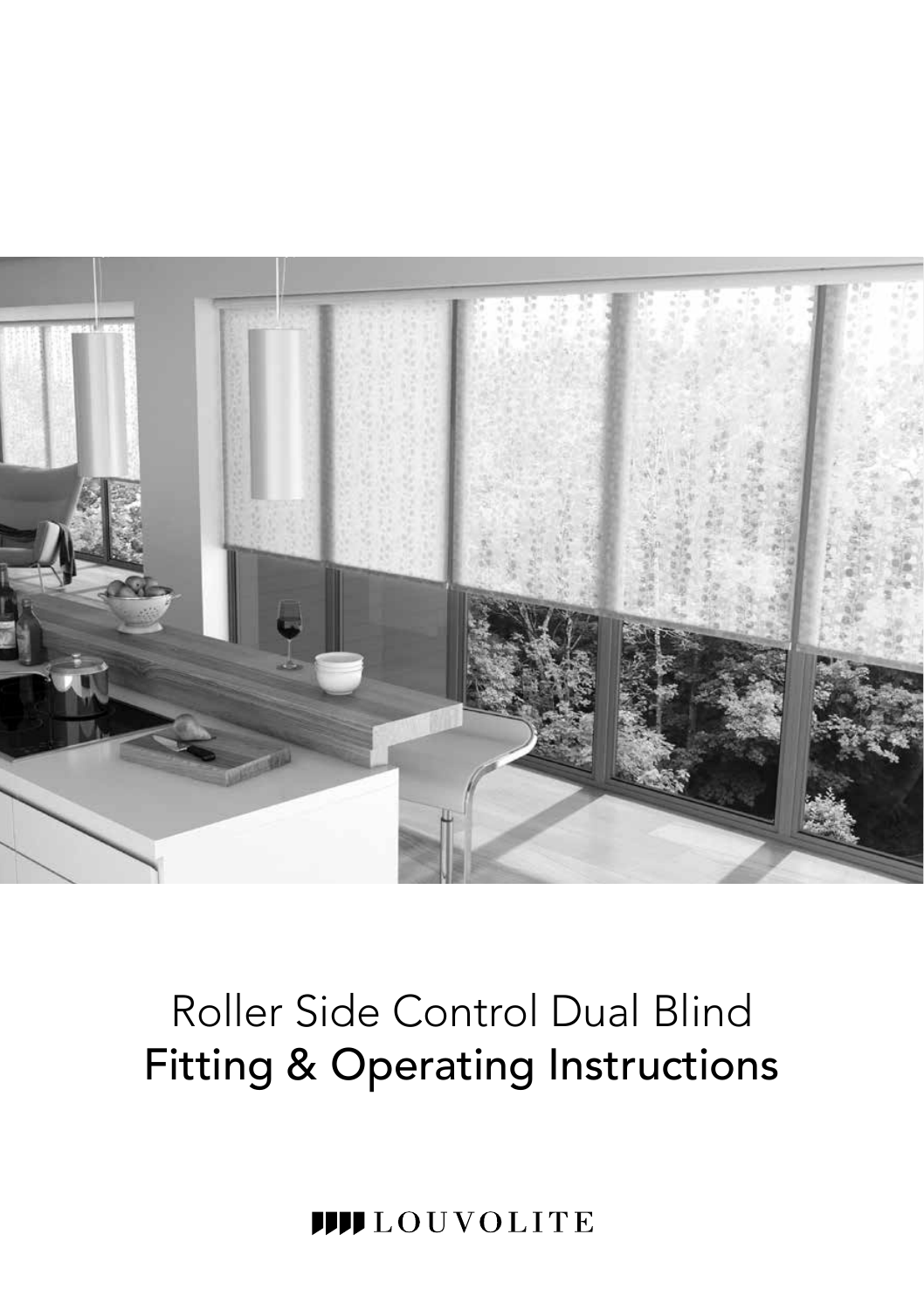

# Roller Side Control Dual Blind Fitting & Operating Instructions

**IIII** LOUVOLITE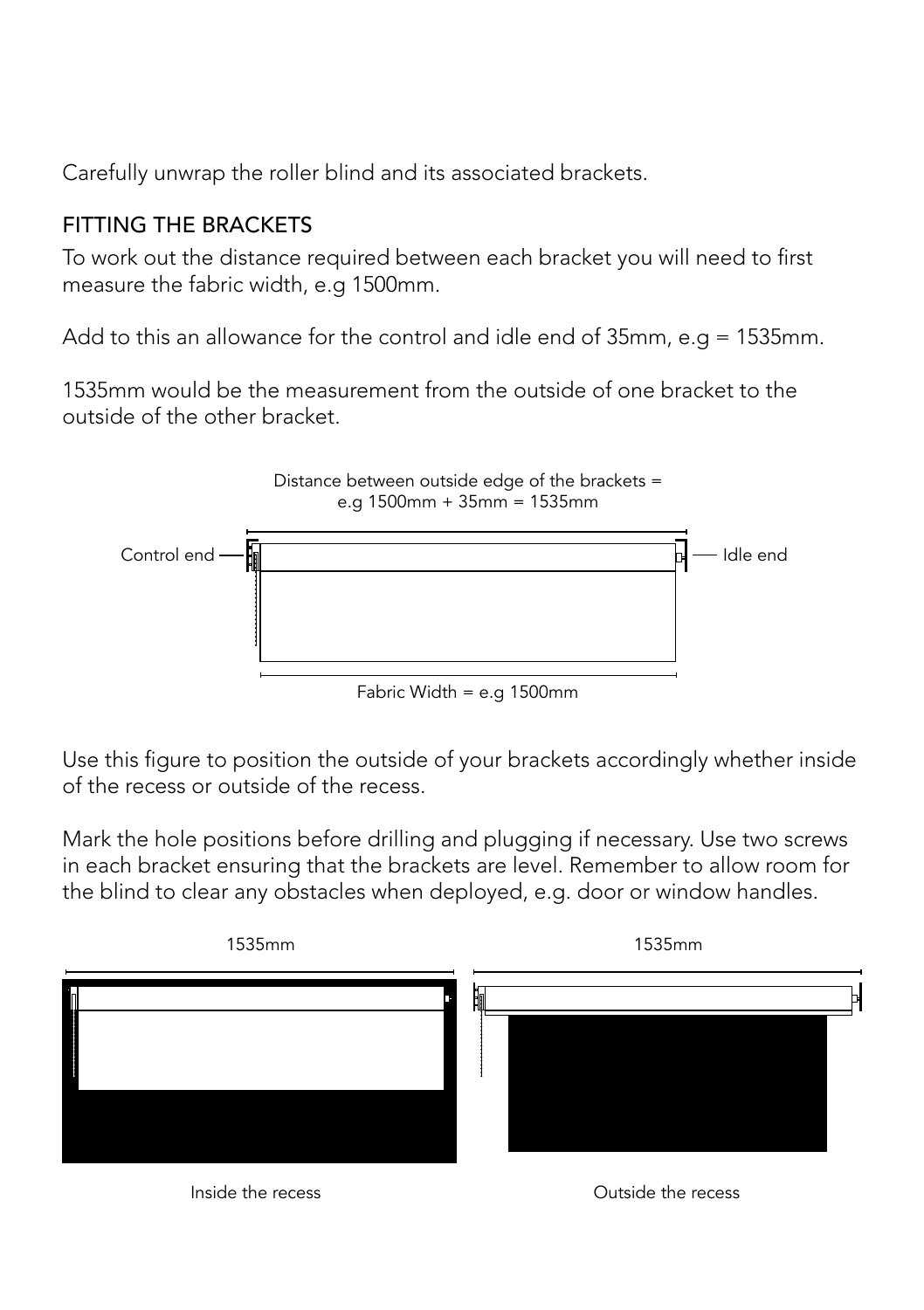Carefully unwrap the roller blind and its associated brackets.

#### FITTING THE BRACKETS

To work out the distance required between each bracket you will need to first measure the fabric width, e.g 1500mm.

Add to this an allowance for the control and idle end of 35mm, e.g = 1535mm.

1535mm would be the measurement from the outside of one bracket to the outside of the other bracket.



Use this figure to position the outside of your brackets accordingly whether inside of the recess or outside of the recess.

Mark the hole positions before drilling and plugging if necessary. Use two screws in each bracket ensuring that the brackets are level. Remember to allow room for the blind to clear any obstacles when deployed, e.g. door or window handles.



Inside the recess Outside the recess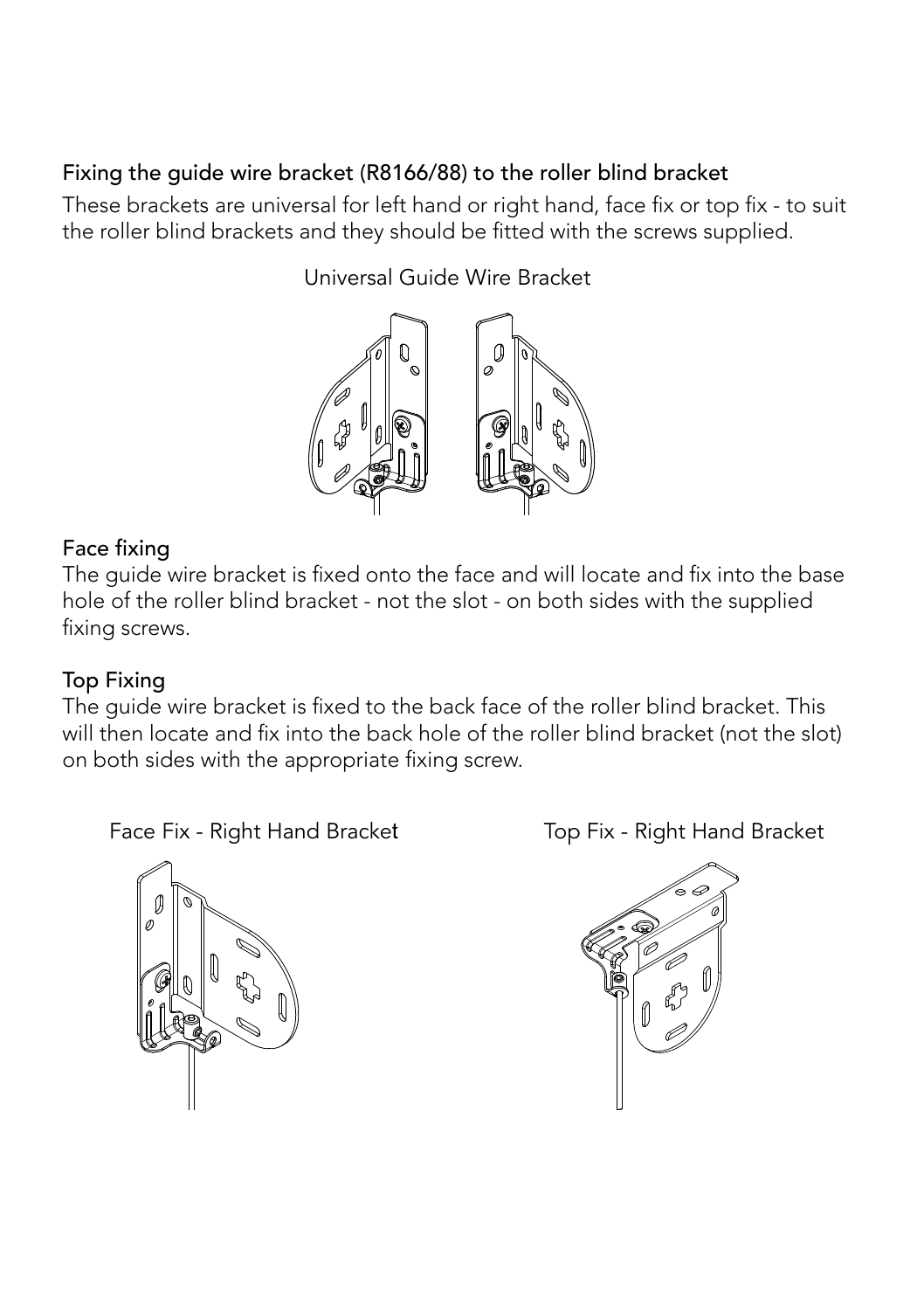### Fixing the guide wire bracket (R8166/88) to the roller blind bracket

These brackets are universal for left hand or right hand, face fix or top fix - to suit the roller blind brackets and they should be fitted with the screws supplied.

Universal Guide Wire Bracket



#### Face fixing

The guide wire bracket is fixed onto the face and will locate and fix into the base hole of the roller blind bracket - not the slot - on both sides with the supplied fixing screws.

#### Top Fixing

The guide wire bracket is fixed to the back face of the roller blind bracket. This will then locate and fix into the back hole of the roller blind bracket (not the slot) on both sides with the appropriate fixing screw.

Face Fix - Right Hand Bracket Top Fix - Right Hand Bracket



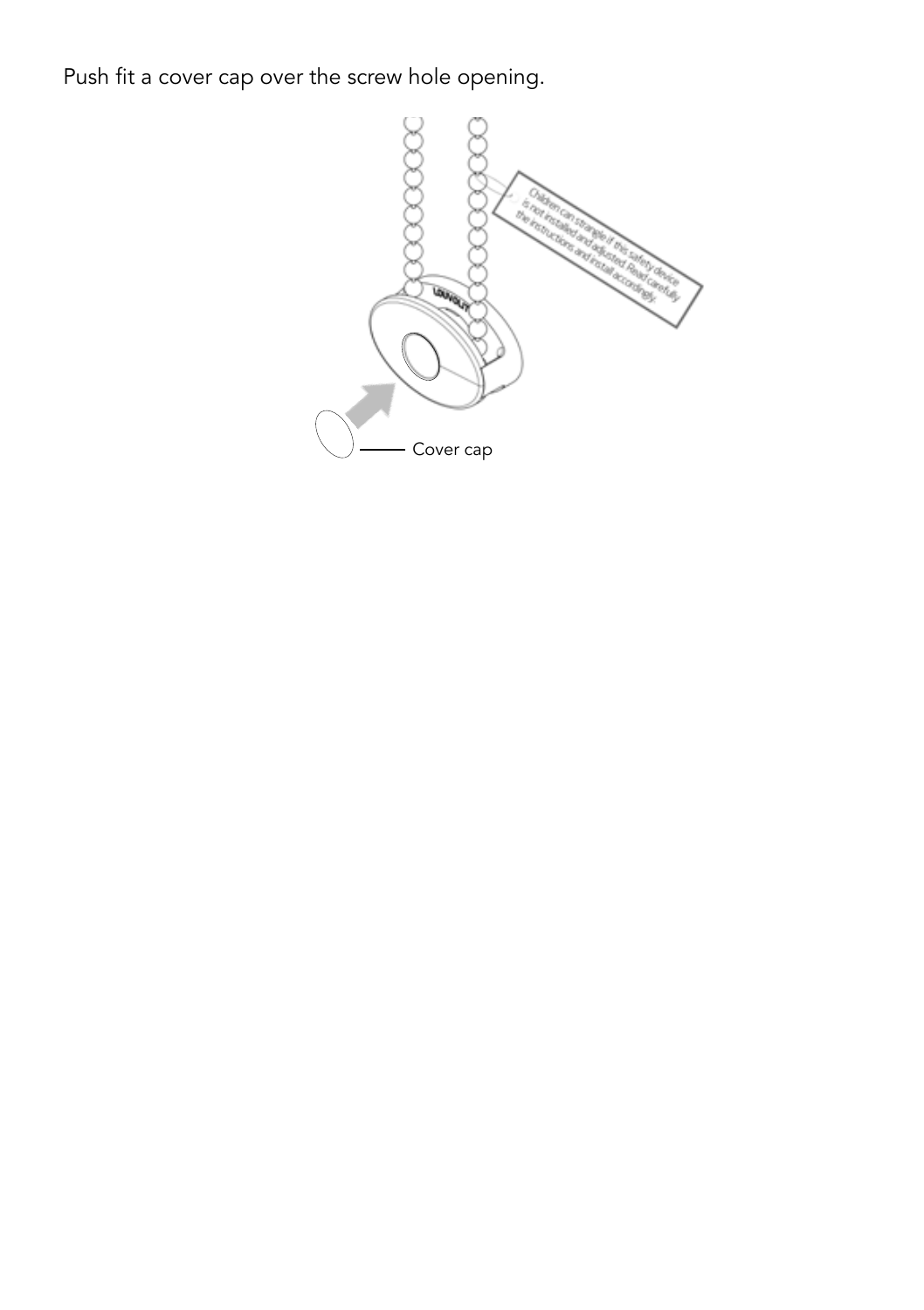Push fit a cover cap over the screw hole opening.

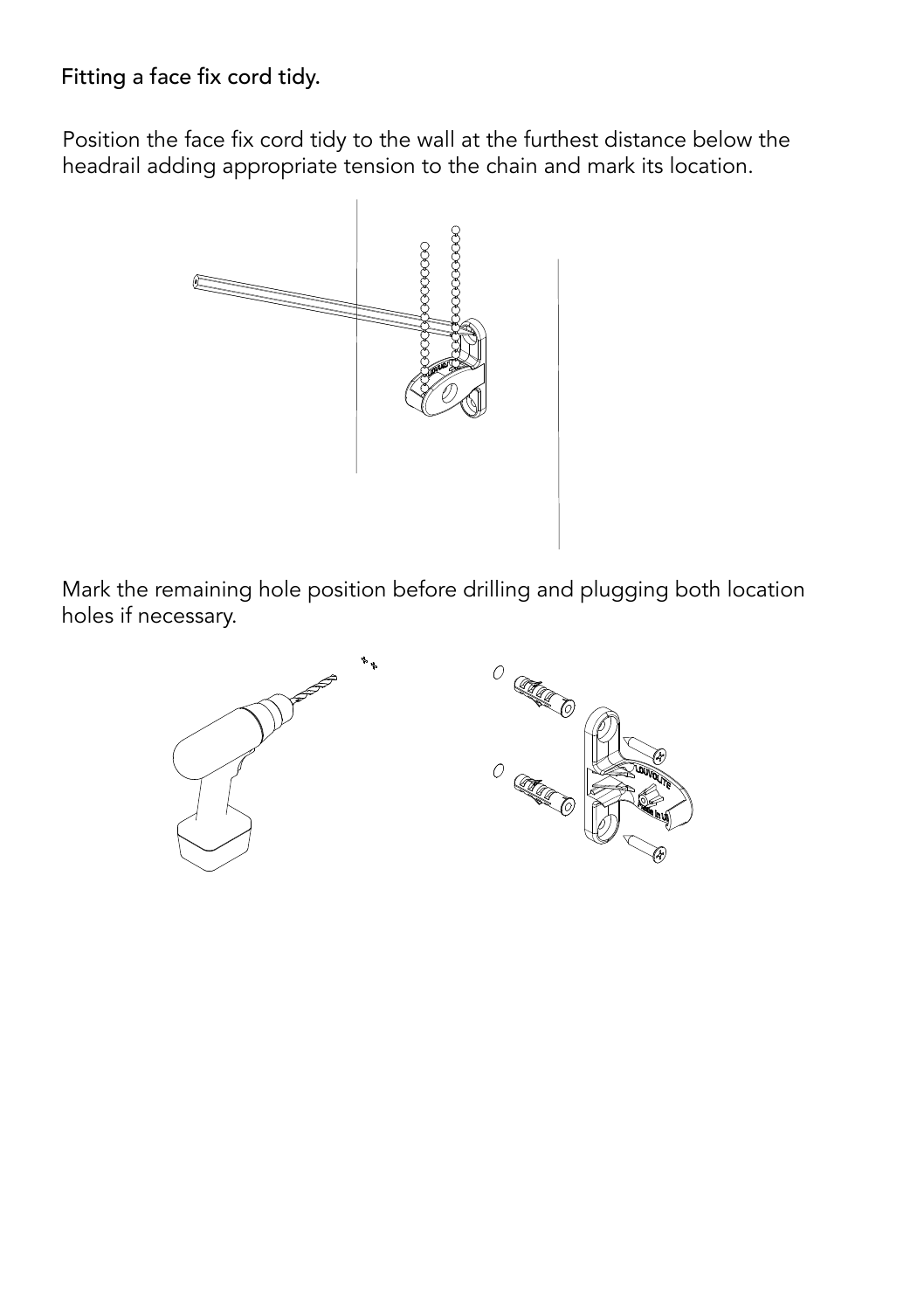#### Fitting a face fix cord tidy.

Position the face fix cord tidy to the wall at the furthest distance below the headrail adding appropriate tension to the chain and mark its location.



Mark the remaining hole position before drilling and plugging both location holes if necessary.

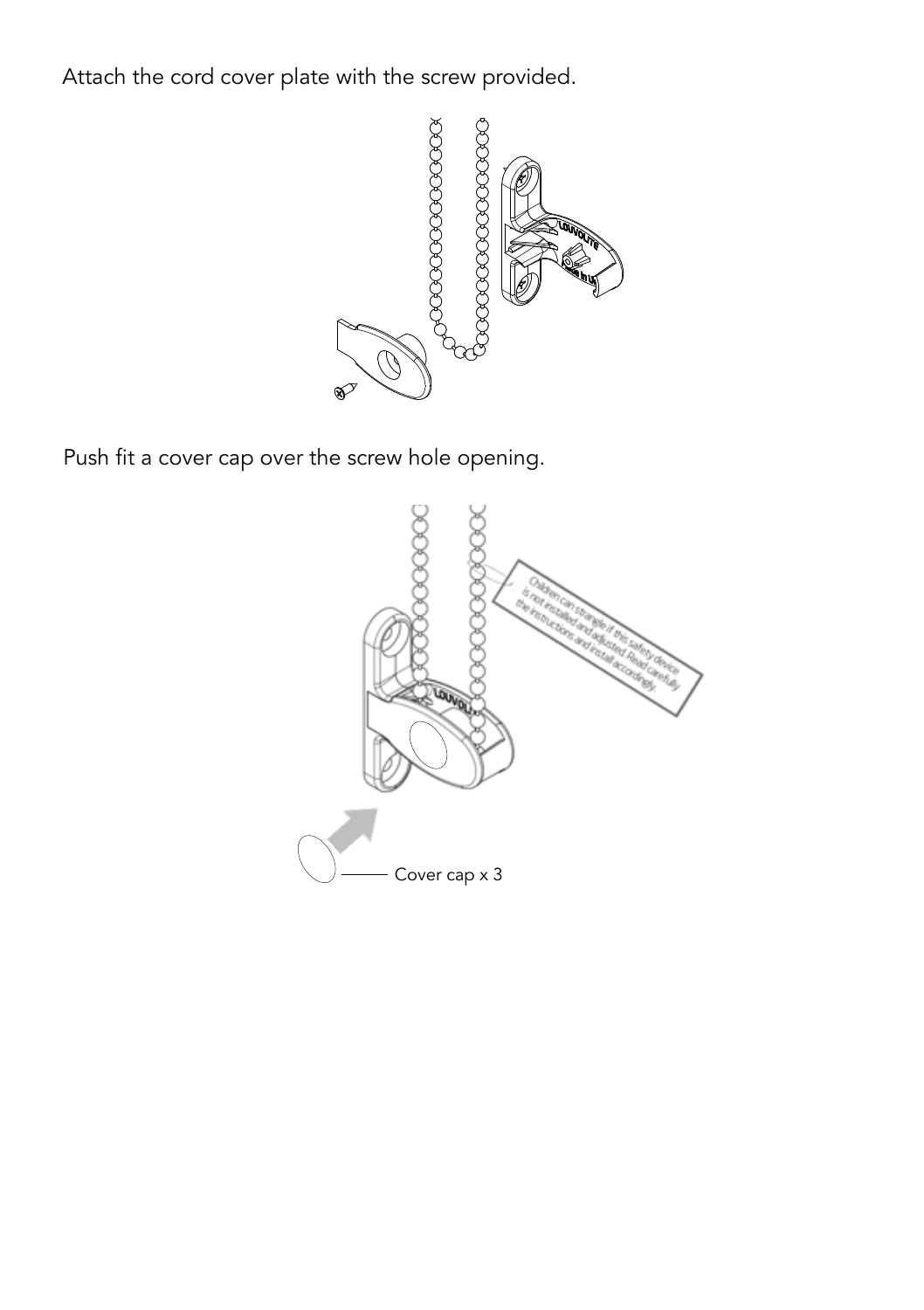Attach the cord cover plate with the screw provided.



Push fit a cover cap over the screw hole opening.

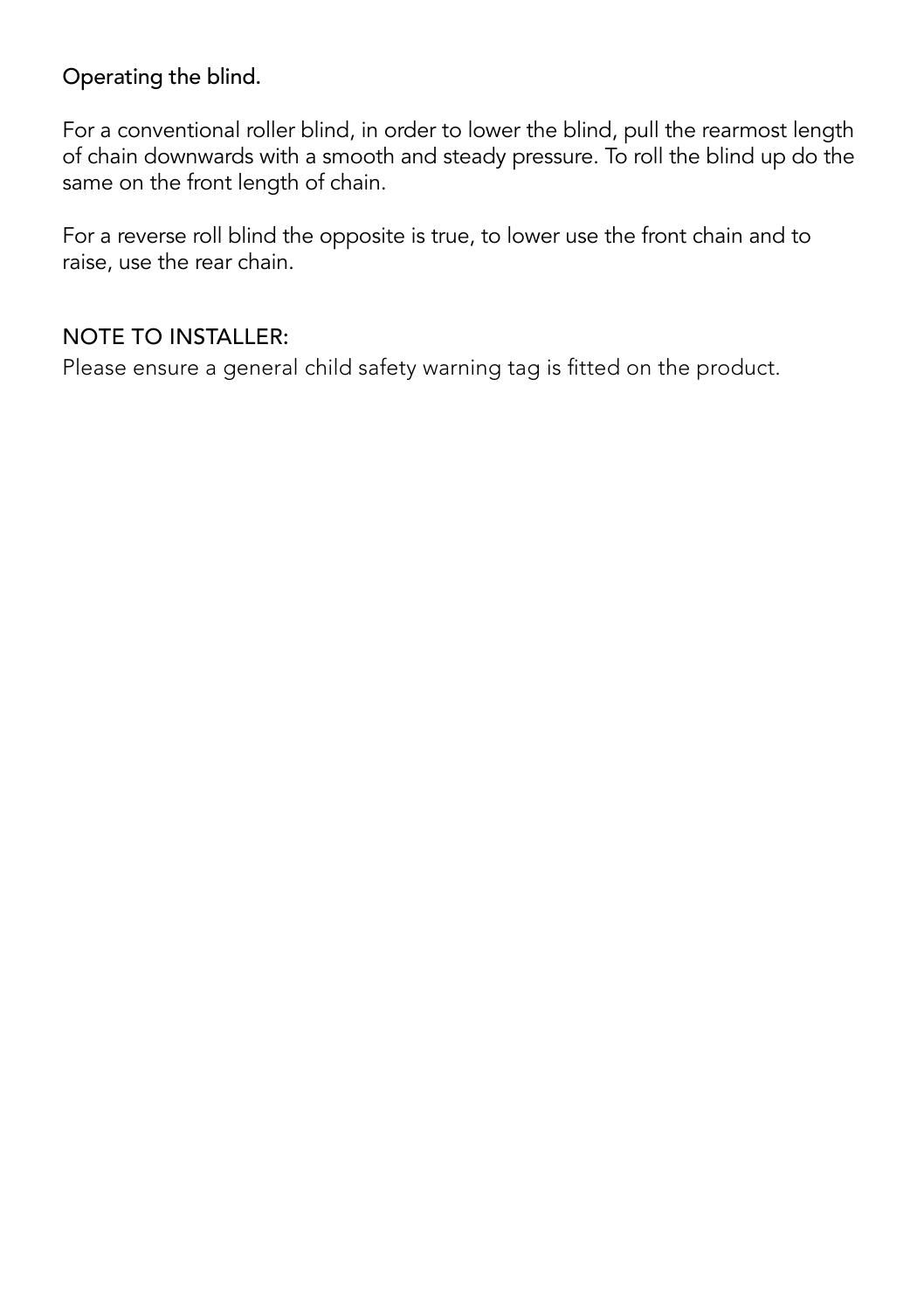#### Operating the blind.

For a conventional roller blind, in order to lower the blind, pull the rearmost length of chain downwards with a smooth and steady pressure. To roll the blind up do the same on the front length of chain.

For a reverse roll blind the opposite is true, to lower use the front chain and to raise, use the rear chain.

#### NOTE TO INSTALLER:

Please ensure a general child safety warning tag is fitted on the product.